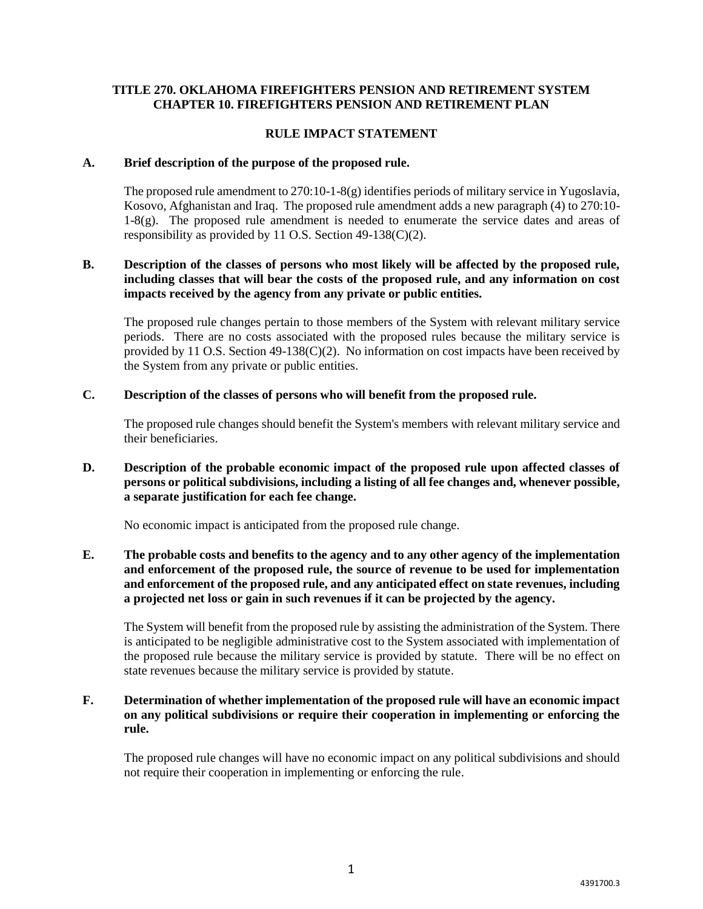# **TITLE 270. OKLAHOMA FIREFIGHTERS PENSION AND RETIREMENT SYSTEM CHAPTER 10. FIREFIGHTERS PENSION AND RETIREMENT PLAN**

### **RULE IMPACT STATEMENT**

#### **A. Brief description of the purpose of the proposed rule.**

The proposed rule amendment to 270:10-1-8(g) identifies periods of military service in Yugoslavia, Kosovo, Afghanistan and Iraq. The proposed rule amendment adds a new paragraph (4) to 270:10- 1-8(g). The proposed rule amendment is needed to enumerate the service dates and areas of responsibility as provided by 11 O.S. Section 49-138(C)(2).

# **B. Description of the classes of persons who most likely will be affected by the proposed rule, including classes that will bear the costs of the proposed rule, and any information on cost impacts received by the agency from any private or public entities.**

The proposed rule changes pertain to those members of the System with relevant military service periods. There are no costs associated with the proposed rules because the military service is provided by 11 O.S. Section  $49-138(C)(2)$ . No information on cost impacts have been received by the System from any private or public entities.

### **C. Description of the classes of persons who will benefit from the proposed rule.**

The proposed rule changes should benefit the System's members with relevant military service and their beneficiaries.

# **D. Description of the probable economic impact of the proposed rule upon affected classes of persons or political subdivisions, including a listing of all fee changes and, whenever possible, a separate justification for each fee change.**

No economic impact is anticipated from the proposed rule change.

# **E. The probable costs and benefits to the agency and to any other agency of the implementation and enforcement of the proposed rule, the source of revenue to be used for implementation and enforcement of the proposed rule, and any anticipated effect on state revenues, including a projected net loss or gain in such revenues if it can be projected by the agency.**

The System will benefit from the proposed rule by assisting the administration of the System. There is anticipated to be negligible administrative cost to the System associated with implementation of the proposed rule because the military service is provided by statute. There will be no effect on state revenues because the military service is provided by statute.

# **F. Determination of whether implementation of the proposed rule will have an economic impact on any political subdivisions or require their cooperation in implementing or enforcing the rule.**

The proposed rule changes will have no economic impact on any political subdivisions and should not require their cooperation in implementing or enforcing the rule.